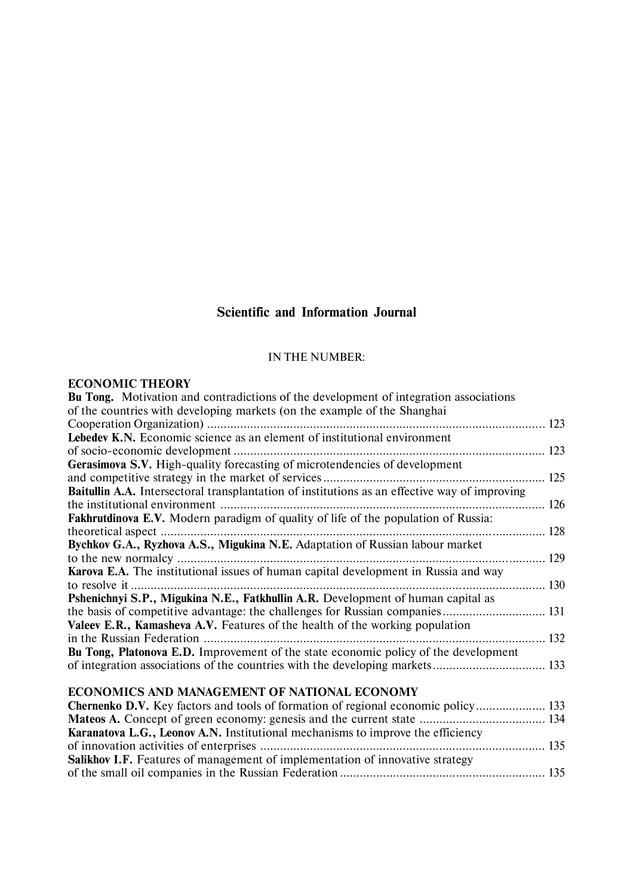# **Scientific and Information Journal**

## IN THE NUMBER:

# **ECONOMIC THEORY**

| <b>Bu Tong.</b> Motivation and contradictions of the development of integration associations  |  |
|-----------------------------------------------------------------------------------------------|--|
| of the countries with developing markets (on the example of the Shanghai                      |  |
|                                                                                               |  |
| Lebedev K.N. Economic science as an element of institutional environment                      |  |
|                                                                                               |  |
| <b>Gerasimova S.V.</b> High-quality forecasting of microtendencies of development             |  |
|                                                                                               |  |
| Baitullin A.A. Intersectoral transplantation of institutions as an effective way of improving |  |
|                                                                                               |  |
| Fakhrutdinova E.V. Modern paradigm of quality of life of the population of Russia:            |  |
|                                                                                               |  |
| Bychkov G.A., Ryzhova A.S., Migukina N.E. Adaptation of Russian labour market                 |  |
|                                                                                               |  |
| Karova E.A. The institutional issues of human capital development in Russia and way           |  |
|                                                                                               |  |
| Pshenichnyi S.P., Migukina N.E., Fatkhullin A.R. Development of human capital as              |  |
| the basis of competitive advantage: the challenges for Russian companies 131                  |  |
| Valeev E.R., Kamasheva A.V. Features of the health of the working population                  |  |
|                                                                                               |  |
| Bu Tong, Platonova E.D. Improvement of the state economic policy of the development           |  |
| of integration associations of the countries with the developing markets 133                  |  |
|                                                                                               |  |
| ECONOMICS AND MANAGEMENT OF NATIONAL ECONOMY                                                  |  |
| Chernenko D.V. Key factors and tools of formation of regional economic policy 133             |  |
|                                                                                               |  |
| <b>Karanatova L.G., Leonov A.N.</b> Institutional mechanisms to improve the efficiency        |  |
|                                                                                               |  |
| <b>Salikhov I.F.</b> Features of management of implementation of innovative strategy          |  |
|                                                                                               |  |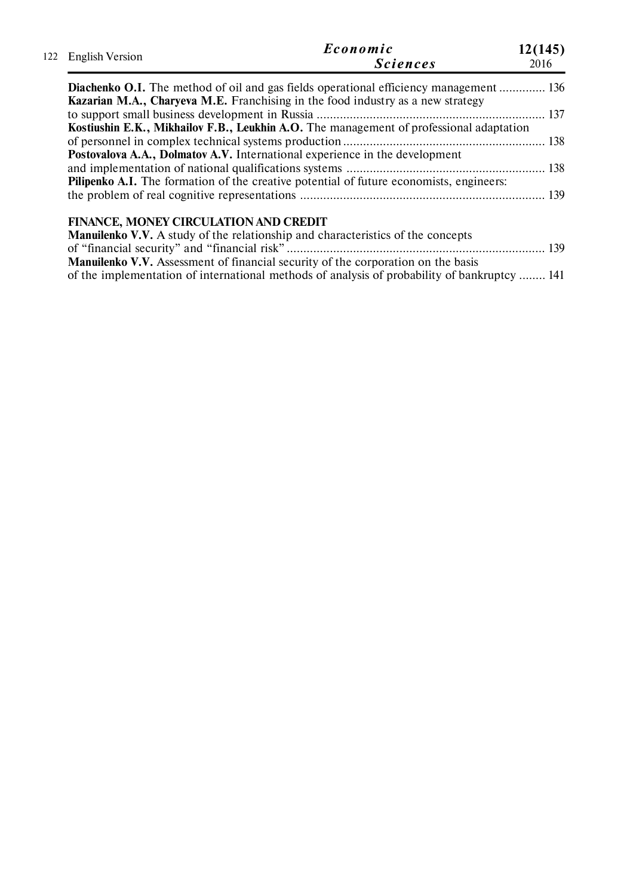| 122 English Version | Economic<br><b>Sciences</b>                                                             | 12(145)<br>2016 |
|---------------------|-----------------------------------------------------------------------------------------|-----------------|
|                     |                                                                                         |                 |
|                     | Diachenko O.I. The method of oil and gas fields operational efficiency management  136  |                 |
|                     | <b>Kazarian M.A., Charyeva M.E.</b> Franchising in the food industry as a new strategy  |                 |
|                     |                                                                                         |                 |
|                     | Kostiushin E.K., Mikhailov F.B., Leukhin A.O. The management of professional adaptation |                 |
|                     |                                                                                         |                 |
|                     | Postovalova A.A., Dolmatov A.V. International experience in the development             |                 |
|                     |                                                                                         |                 |
|                     | Pilipenko A.I. The formation of the creative potential of future economists, engineers: |                 |

# **FINANCE, MONEY CIRCULATION AND CREDIT**

| <b>Manuilenko V.V.</b> A study of the relationship and characteristics of the concepts       |  |
|----------------------------------------------------------------------------------------------|--|
|                                                                                              |  |
| <b>Manuilenko V.V.</b> Assessment of financial security of the corporation on the basis      |  |
| of the implementation of international methods of analysis of probability of bankruptcy  141 |  |

the problem of real cognitive representations .......................................................................... 139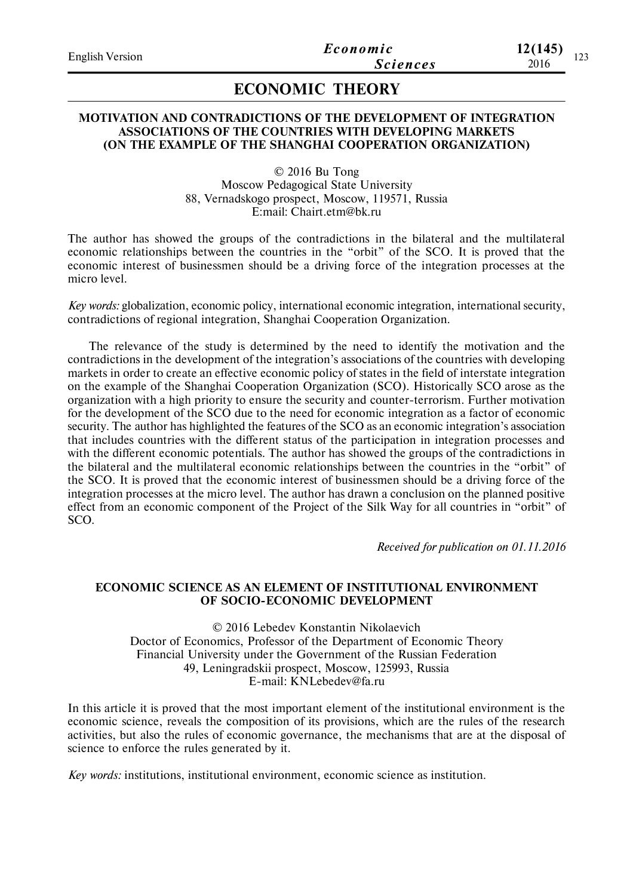| <b>English Version</b> | Economic        | 12(145) | 122 |
|------------------------|-----------------|---------|-----|
|                        | <b>Sciences</b> | 2016    | 129 |
|                        |                 |         |     |

# **ECONOMIC THEORY**

### **MOTIVATION AND CONTRADICTIONS OF THE DEVELOPMENT OF INTEGRATION ASSOCIATIONS OF THE COUNTRIES WITH DEVELOPING MARKETS (ON THE EXAMPLE OF THE SHANGHAI COOPERATION ORGANIZATION)**

© 2016 Bu Tong Moscow Pedagogical State University 88, Vernadskogo prospect, Moscow, 119571, Russia E:mail: Chairt.etm@bk.ru

The author has showed the groups of the contradictions in the bilateral and the multilateral economic relationships between the countries in the "orbit" of the SCO. It is proved that the economic interest of businessmen should be a driving force of the integration processes at the micro level.

*Key words:* globalization, economic policy, international economic integration, international security, contradictions of regional integration, Shanghai Cooperation Organization.

The relevance of the study is determined by the need to identify the motivation and the contradictions in the development of the integration's associations of the countries with developing markets in order to create an effective economic policy of states in the field of interstate integration on the example of the Shanghai Cooperation Organization (SCO). Historically SCO arose as the organization with a high priority to ensure the security and counter-terrorism. Further motivation for the development of the SCO due to the need for economic integration as a factor of economic security. The author has highlighted the features of the SCO as an economic integration's association that includes countries with the different status of the participation in integration processes and with the different economic potentials. The author has showed the groups of the contradictions in the bilateral and the multilateral economic relationships between the countries in the "orbit" of the SCO. It is proved that the economic interest of businessmen should be a driving force of the integration processes at the micro level. The author has drawn a conclusion on the planned positive effect from an economic component of the Project of the Silk Way for all countries in "orbit" of SCO.

*Received for publication on 01.11.2016*

## **ECONOMIC SCIENCE AS AN ELEMENT OF INSTITUTIONAL ENVIRONMENT OF SOCIO-ECONOMIC DEVELOPMENT**

© 2016 Lebedev Konstantin Nikolaevich Doctor of Economics, Professor of the Department of Economic Theory Financial University under the Government of the Russian Federation 49, Leningradskii prospect, Moscow, 125993, Russia E-mail: KNLebedev@fa.ru

In this article it is proved that the most important element of the institutional environment is the economic science, reveals the composition of its provisions, which are the rules of the research activities, but also the rules of economic governance, the mechanisms that are at the disposal of science to enforce the rules generated by it.

*Key words:* institutions, institutional environment, economic science as institution.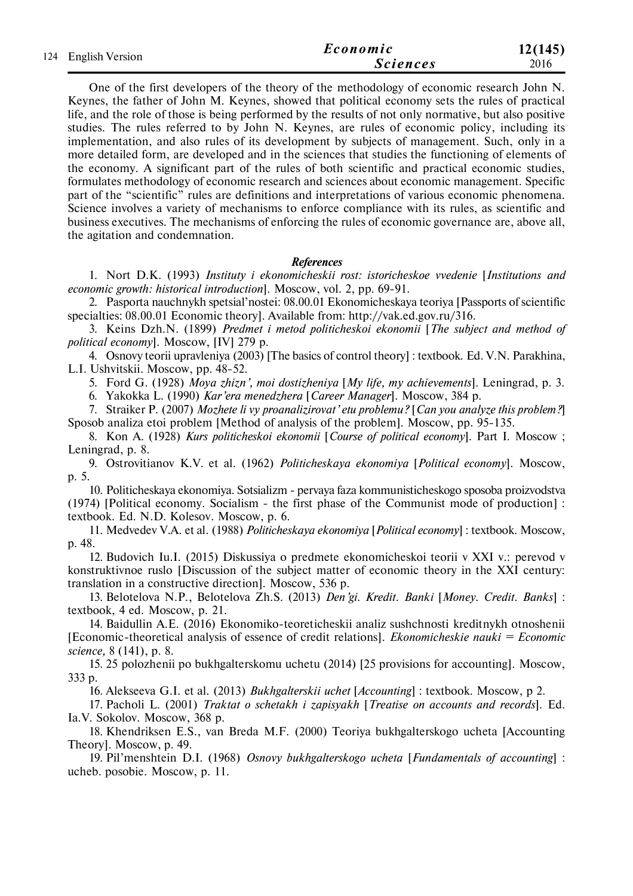| 124 English Version | Economic | 12(145)         |      |
|---------------------|----------|-----------------|------|
|                     |          | <b>Sciences</b> | 2016 |

One of the first developers of the theory of the methodology of economic research John N. Keynes, the father of John M. Keynes, showed that political economy sets the rules of practical life, and the role of those is being performed by the results of not only normative, but also positive studies. The rules referred to by John N. Keynes, are rules of economic policy, including its implementation, and also rules of its development by subjects of management. Such, only in a more detailed form, are developed and in the sciences that studies the functioning of elements of the economy. A significant part of the rules of both scientific and practical economic studies, formulates methodology of economic research and sciences about economic management. Specific part of the "scientific" rules are definitions and interpretations of various economic phenomena. Science involves a variety of mechanisms to enforce compliance with its rules, as scientific and business executives. The mechanisms of enforcing the rules of economic governance are, above all, the agitation and condemnation.

### *References*

1. Nort D.K. (1993) *Instituty i ekonomicheskii rost: istoricheskoe vvedenie* [*Institutions and economic growth: historical introduction*]. Moscow, vol. 2, pр. 69-91.

2. Pasporta nauchnykh spetsial'nostei: 08.00.01 Ekonomicheskaya teoriya [Passports of scientific specialties: 08.00.01 Economic theory]. Available from: http://vak.ed.gov.ru/316.

3. Keins Dzh.N. (1899) *Predmet i metod politicheskoi ekonomii* [*The subject and method of political economy*]. Moscow, [IV] 279 p.

4. Osnovy teorii upravleniya (2003) [The basics of control theory] : textbook. Еd. V.N. Parakhinа, L.I. Ushvitskii. Moscow, pp. 48-52.

5. Ford G. (1928) *Moya zhizn', moi dostizheniya* [*My life, my achievements*]. Leningrad, p. 3.

6. Yakokka L. (1990) *Kar'era menedzhera* [*Career Manager*]. Moscow, 384 p.

7. Straiker P. (2007) *Mozhete li vy proanalizirovat' etu problemu?* [*Can you analyze this problem?*] Sposob analiza etoi problem [Method of analysis of the problem]. Moscow, pp. 95-135.

8. Kon A. (1928) *Kurs politicheskoi ekonomii* [*Course of political economy*]. Part I. Moscow ; Leningrad, p. 8.

9. Ostrovitianov K.V. et al. (1962) *Politicheskaya ekonomiya* [*Political economy*]. Moscow, p. 5.

10. Politicheskaya ekonomiya. Sotsializm - pervaya faza kommunisticheskogo sposoba proizvodstva (1974) [Political economy. Socialism - the first phase of the Communist mode of production] : textbook. Еd. N.D. Kolesov. Moscow, p. 6.

11. Medvedev V.A. et al. (1988) *Politicheskaya ekonomiya* [*Political economy*] : textbook. Moscow, p. 48.

12. Budovich Iu.I. (2015) Diskussiya o predmete ekonomicheskoi teorii v XXI v.: perevod v konstruktivnoe ruslo [Discussion of the subject matter of economic theory in the XXI century: translation in a constructive direction]. Moscow, 536 p.

13. Belotelova N.P., Belotelova Zh.S. (2013) *Den'gi. Kredit. Banki* [*Money. Credit. Banks*] : textbook, 4 ed. Moscow, p. 21.

14. Baidullin A.E. (2016) Ekonomiko-teoreticheskii analiz sushchnosti kreditnykh otnoshenii [Economic-theoretical analysis of essence of credit relations]. *Ekonomicheskie nauki = Economic science,* 8 (141), p. 8.

15. 25 polozhenii po bukhgalterskomu uchetu (2014) [25 provisions for accounting]. Moscow, 333 p.

16. Alekseeva G.I. et al. (2013) *Bukhgalterskii uchet* [*Accounting*] : textbook. Moscow, p 2.

17. Pacholi L. (2001) *Traktat o schetakh i zapisyakh* [*Treatise on accounts and records*]. Еd. Ia.V. Sokolov. Moscow, 368 p.

18. Khendriksen E.S., van Breda M.F. (2000) Teoriya bukhgalterskogo ucheta [Accounting Theory]. Moscow, p. 49.

19. Pil'menshtein D.I. (1968) *Osnovy bukhgalterskogo ucheta* [*Fundamentals of accounting*] : ucheb. posobie. Moscow, p. 11.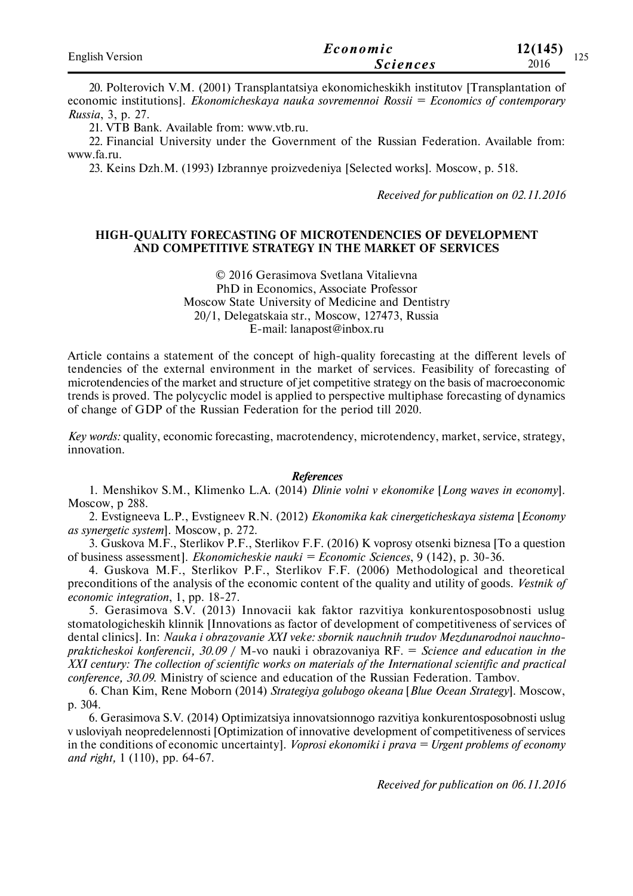| <b>English Version</b> | Economic        | 12(145)<br>$1 \cap \mathcal{L}$ |
|------------------------|-----------------|---------------------------------|
|                        | <i>Sciences</i> | ⊥∠J<br>2016                     |

20. Polterovich V.M. (2001) Transplantatsiya ekonomicheskikh institutov [Transplantation of economic institutions]. *Ekonomicheskaya nauka sovremennoi Rossii = Economics of contemporary Russia*, 3, p. 27.

21. VTB Bank. Available from: www.vtb.ru.

22. Financial University under the Government of the Russian Federation. Available from: www.fa.ru.

23. Keins Dzh.M. (1993) Izbrannye proizvedeniya [Selected works]. Moscow, p. 518.

*Received for publication on 02.11.2016*

### **HIGH-QUALITY FORECASTING OF MICROTENDENCIES OF DEVELOPMENT AND COMPETITIVE STRATEGY IN THE MARKET OF SERVICES**

© 2016 Gerasimova Svetlana Vitalievna PhD in Economics, Associate Professor Moscow State University of Medicine and Dentistry 20/1, Delegatskaia str., Moscow, 127473, Russia E-mail: lanapost@inbox.ru

Article contains a statement of the concept of high-quality forecasting at the different levels of tendencies of the external environment in the market of services. Feasibility of forecasting of microtendencies of the market and structure of jet competitive strategy on the basis of macroeconomic trends is proved. The polycyclic model is applied to perspective multiphase forecasting of dynamics of change of GDP of the Russian Federation for the period till 2020.

*Key words:* quality, economic forecasting, macrotendency, microtendency, market, service, strategy, innovation.

#### *References*

1. Menshikov S.M., Klimenko L.A. (2014) *Dlinie volni v ekonomike* [*Long waves in economy*]. Moscow, p 288.

2. Evstigneeva L.P., Evstigneev R.N. (2012) *Ekonomika kak cinergeticheskaya sistema* [*Economy as synergetic system*]. Moscow, p. 272.

3. Guskova M.F., Sterlikov P.F., Sterlikov F.F. (2016) K voprosy otsenki biznesa [To a question of business assessment]. *Ekonomicheskie nauki = Economic Sciences*, 9 (142), p. 30-36.

4. Guskova M.F., Sterlikov P.F., Sterlikov F.F. (2006) Methodological and theoretical preconditions of the analysis of the economic content of the quality and utility of goods. *Vestnik of economic integration*, 1, pp. 18-27.

5. Gerasimova S.V. (2013) Innovacii kak faktor razvitiya konkurentosposobnosti uslug stomatologicheskih klinnik [Innovations as factor of development of competitiveness of services of dental clinics]. In: *Nauka i obrazovanie XXI veke: sbornik nauchnih trudov Mezdunarodnoi nauchnoprakticheskoi konferencii, 30.09* / M-vo nauki i obrazovaniya RF. = *Science and education in the XXI century: The collection of scientific works on materials of the International scientific and practical conference, 30.09.* Ministry of science and education of the Russian Federation. Tambov.

6. Chan Kim, Rene Moborn (2014) *Strategiya golubogo okeana* [*Blue Ocean Strategy*]. Moscow, p. 304.

6. Gerasimova S.V. (2014) Optimizatsiya innovatsionnogo razvitiya konkurentosposobnosti uslug v usloviyah neopredelennosti [Optimization of innovative development of competitiveness of services in the conditions of economic uncertainty]. *Voprosi ekonomiki i prava = Urgent problems of economy and right,* 1 (110), pp. 64-67.

*Received for publication on 06.11.2016*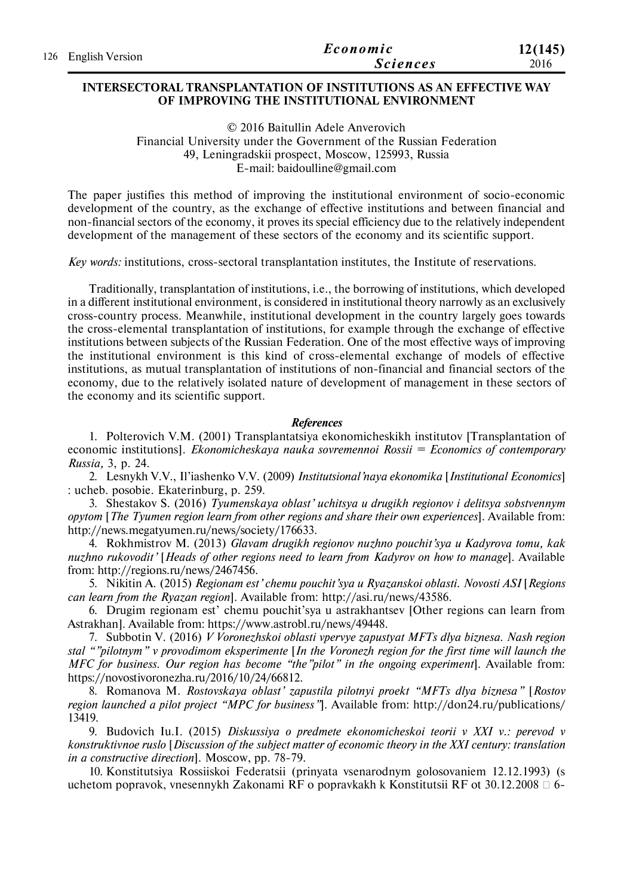| 126 English Version | Economic        | 12(145) |
|---------------------|-----------------|---------|
|                     | <b>Sciences</b> | 2016    |

### **INTERSECTORAL TRANSPLANTATION OF INSTITUTIONS AS AN EFFECTIVE WAY OF IMPROVING THE INSTITUTIONAL ENVIRONMENT**

© 2016 Baitullin Adele Anverovich Financial University under the Government of the Russian Federation 49, Leningradskii prospect, Moscow, 125993, Russia E-mail: baidoulline@gmail.com

The paper justifies this method of improving the institutional environment of socio-economic development of the country, as the exchange of effective institutions and between financial and non-financial sectors of the economy, it proves its special efficiency due to the relatively independent development of the management of these sectors of the economy and its scientific support.

*Key words:* institutions, cross-sectoral transplantation institutes, the Institute of reservations.

Traditionally, transplantation of institutions, i.e., the borrowing of institutions, which developed in a different institutional environment, is considered in institutional theory narrowly as an exclusively cross-country process. Meanwhile, institutional development in the country largely goes towards the cross-elemental transplantation of institutions, for example through the exchange of effective institutions between subjects of the Russian Federation. One of the most effective ways of improving the institutional environment is this kind of cross-elemental exchange of models of effective institutions, as mutual transplantation of institutions of non-financial and financial sectors of the economy, due to the relatively isolated nature of development of management in these sectors of the economy and its scientific support.

### *References*

1. Polterovich V.M. (2001) Transplantatsiya ekonomicheskikh institutov [Transplantation of economic institutions]. *Ekonomicheskaya nauka sovremennoi Rossii = Economics of contemporary Russia,* 3, p. 24.

2. Lesnykh V.V., Il'iashenko V.V. (2009) *Institutsional'naya ekonomika* [*Institutional Economics*] : ucheb. posobie. Ekaterinburg, p. 259.

3. Shestakov S. (2016) *Tyumenskaya oblast' uchitsya u drugikh regionov i delitsya sobstvennym opytom* [*The Tyumen region learn from other regions and share their own experiences*]. Available from: http://news.megatyumen.ru/news/society/176633.

4. Rokhmistrov M. (2013) *Glavam drugikh regionov nuzhno pouchit'sya u Kadyrova tomu, kak nuzhno rukovodit'* [*Heads of other regions need to learn from Kadyrov on how to manage*]. Available from: http://regions.ru/news/2467456.

5. Nikitin A. (2015) *Regionam est' chemu pouchit'sya u Ryazanskoi oblasti. Novosti ASI* [*Regions can learn from the Ryazan region*]. Available from: http://asi.ru/news/43586.

6. Drugim regionam est' chemu pouchit'sya u astrakhantsev [Other regions can learn from Astrakhan]. Available from: https://www.astrobl.ru/news/49448.

7. Subbotin V. (2016) *V Voronezhskoi oblasti vpervye zapustyat MFTs dlya biznesa. Nash region stal ""pilotnym" v provodimom eksperimente* [*In the Voronezh region for the first time will launch the MFC for business. Our region has become "the"pilot" in the ongoing experiment*]. Available from: https://novostivoronezha.ru/2016/10/24/66812.

8. Romanova M. *Rostovskaya oblast' zapustila pilotnyi proekt "MFTs dlya biznesa"* [*Rostov region launched a pilot project "MPC for business"*]. Available from: http://don24.ru/publications/ 13419.

9. Budovich Iu.I. (2015) *Diskussiya o predmete ekonomicheskoi teorii v XXI v.: perevod v konstruktivnoe ruslo* [*Discussion of the subject matter of economic theory in the XXI century: translation in a constructive direction*]. Moscow, pp. 78-79.

10. Konstitutsiya Rossiiskoi Federatsii (prinyata vsenarodnym golosovaniem 12.12.1993) (s uchetom popravok, vnesennykh Zakonami RF o popravkakh k Konstitutsii RF ot 30.12.2008  $\Box$  6-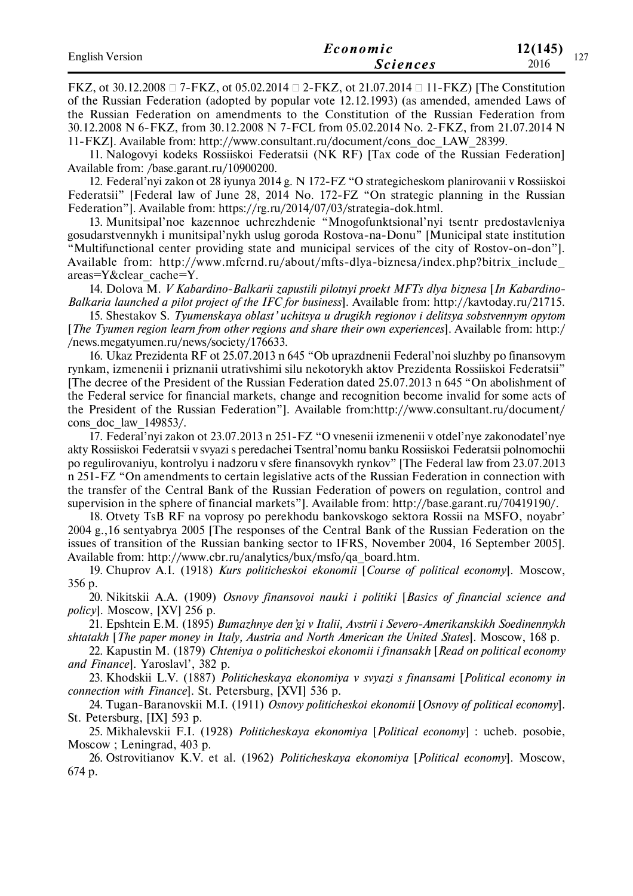| <b>English Version</b> | Economic        | 12(145) | $\sim$ $\sim$ $\sim$ |
|------------------------|-----------------|---------|----------------------|
|                        | <i>Sciences</i> | 2016    | $\mathbf{1}$         |

FKZ, ot 30.12.2008  $\Box$  7-FKZ, ot 05.02.2014  $\Box$  2-FKZ, ot 21.07.2014  $\Box$  11-FKZ) [The Constitution of the Russian Federation (adopted by popular vote 12.12.1993) (as amended, amended Laws of the Russian Federation on amendments to the Constitution of the Russian Federation from 30.12.2008 N 6-FKZ, from 30.12.2008 N 7-FCL from 05.02.2014 No. 2-FKZ, from 21.07.2014 N 11-FKZ]. Available from: http://www.consultant.ru/document/cons\_doc\_LAW\_28399.

11. Nalogovyi kodeks Rossiiskoi Federatsii (NK RF) [Tax code of the Russian Federation] Available from: /base.garant.ru/10900200.

12. Federal'nyi zakon ot 28 iyunya 2014 g. N 172-FZ "O strategicheskom planirovanii v Rossiiskoi Federatsii" [Federal law of June 28, 2014 No. 172-FZ "On strategic planning in the Russian Federation"]. Available from: https://rg.ru/2014/07/03/strategia-dok.html.

13. Munitsipal'noe kazennoe uchrezhdenie "Mnogofunktsional'nyi tsentr predostavleniya gosudarstvennykh i munitsipal'nykh uslug goroda Rostova-na-Donu" [Municipal state institution "Multifunctional center providing state and municipal services of the city of Rostov-on-don"]. Available from: http://www.mfcrnd.ru/about/mfts-dlya-biznesa/index.php?bitrix\_include\_ areas=Y&clear\_cache=Y.

14. Dolova M. *V Kabardino-Balkarii zapustili pilotnyi proekt MFTs dlya biznesa* [*In Kabardino-Balkaria launched a pilot project of the IFC for business*]. Available from: http://kavtoday.ru/21715.

15. Shestakov S. *Tyumenskaya oblast' uchitsya u drugikh regionov i delitsya sobstvennym opytom* [*The Tyumen region learn from other regions and share their own experiences*]. Available from: http:/ /news.megatyumen.ru/news/society/176633.

16. Ukaz Prezidenta RF ot 25.07.2013 n 645 "Ob uprazdnenii Federal'noi sluzhby po finansovym rynkam, izmenenii i priznanii utrativshimi silu nekotorykh aktov Prezidenta Rossiiskoi Federatsii" [The decree of the President of the Russian Federation dated 25.07.2013 n 645 "On abolishment of the Federal service for financial markets, change and recognition become invalid for some acts of the President of the Russian Federation"]. Available from:http://www.consultant.ru/document/ cons\_doc\_law\_149853/.

17. Federal'nyi zakon ot 23.07.2013 n 251-FZ "O vnesenii izmenenii v otdel'nye zakonodatel'nye akty Rossiiskoi Federatsii v svyazi s peredachei Tsentral'nomu banku Rossiiskoi Federatsii polnomochii po regulirovaniyu, kontrolyu i nadzoru v sfere finansovykh rynkov" [The Federal law from 23.07.2013 n 251-FZ "On amendments to certain legislative acts of the Russian Federation in connection with the transfer of the Central Bank of the Russian Federation of powers on regulation, control and supervision in the sphere of financial markets"]. Available from: http://base.garant.ru/70419190/.

18. Otvety TsB RF na voprosy po perekhodu bankovskogo sektora Rossii na MSFO, noyabr' 2004 g.,16 sentyabrya 2005 [The responses of the Central Bank of the Russian Federation on the issues of transition of the Russian banking sector to IFRS, November 2004, 16 September 2005]. Available from: http://www.cbr.ru/analytics/bux/msfo/qa\_board.htm.

19. Chuprov A.I. (1918) *Kurs politicheskoi ekonomii* [*Course of political economy*]. Moscow, 356 p.

20. Nikitskii A.A. (1909) *Osnovy finansovoi nauki i politiki* [*Basics of financial science and policy*]. Moscow, [XV] 256 p.

21. Epshtein E.M. (1895) *Bumazhnye den'gi v Italii, Avstrii i Severo-Amerikanskikh Soedinennykh shtatakh* [*The paper money in Italy, Austria and North American the United States*]. Moscow, 168 p.

22. Kapustin M. (1879) *Chteniya o politicheskoi ekonomii i finansakh* [*Read on political economy and Finance*]. Yaroslavl', 382 p.

23. Khodskii L.V. (1887) *Politicheskaya ekonomiya v svyazi s finansami* [*Political economy in connection with Finance*]. St. Petersburg, [XVI] 536 p.

24. Tugan-Baranovskii M.I. (1911) *Osnovy politicheskoi ekonomii* [*Osnovy of political economy*]. St. Petersburg, [IX] 593 p.

25. Mikhalevskii F.I. (1928) *Politicheskaya ekonomiya* [*Political economy*] : ucheb. posobie, Moscow ; Leningrad, 403 p.

26. Ostrovitianov K.V. et al. (1962) *Politicheskaya ekonomiya* [*Political economy*]. Moscow, 674 p.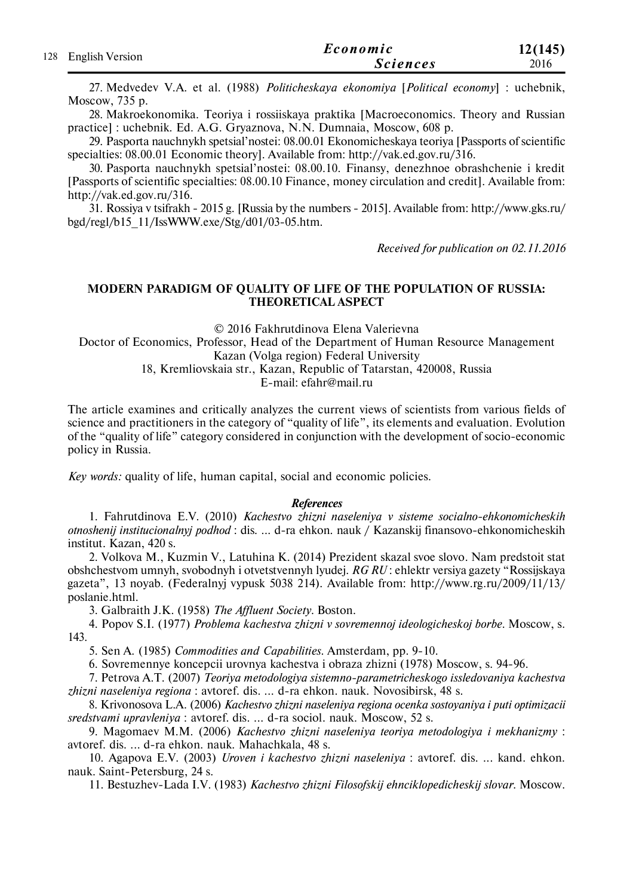|                     | Economic        | 12(145) |
|---------------------|-----------------|---------|
| 128 English Version | <b>Sciences</b> | 2016    |

27. Medvedev V.A. et al. (1988) *Politicheskaya ekonomiya* [*Political economy*] : uchebnik, Moscow, 735 p.

28. Makroekonomika. Teoriya i rossiiskaya praktika [Macroeconomics. Theory and Russian practice] : uchebnik. Еd. A.G. Gryaznovа, N.N. Dumnaia, Moscow, 608 p.

29. Pasporta nauchnykh spetsial'nostei: 08.00.01 Ekonomicheskaya teoriya [Passports of scientific specialties: 08.00.01 Economic theory]. Available from: http://vak.ed.gov.ru/316.

30. Pasporta nauchnykh spetsial'nostei: 08.00.10. Finansy, denezhnoe obrashchenie i kredit [Passports of scientific specialties: 08.00.10 Finance, money circulation and credit]. Available from: http://vak.ed.gov.ru/316.

31. Rossiya v tsifrakh - 2015 g. [Russia by the numbers - 2015]. Available from: http://www.gks.ru/ bgd/regl/b15\_11/IssWWW.exe/Stg/d01/03-05.htm.

*Received for publication on 02.11.2016*

## **MODERN PARADIGM OF QUALITY OF LIFE OF THE POPULATION OF RUSSIA: THEORETICAL ASPECT**

© 2016 Fakhrutdinova Elena Valerievna

Doctor of Economics, Professor, Head of the Department of Human Resource Management Kazan (Volga region) Federal University

18, Kremliovskaia str., Kazan, Republic of Tatarstan, 420008, Russia

E-mail: efahr@mail.ru

The article examines and critically analyzes the current views of scientists from various fields of science and practitioners in the category of "quality of life", its elements and evaluation. Evolution of the "quality of life" category considered in conjunction with the development of socio-economic policy in Russia.

*Key words:* quality of life, human capital, social and economic policies.

#### *References*

1. Fahrutdinova E.V. (2010) *Kachestvo zhizni naseleniya v sisteme socialno-ehkonomicheskih otnoshenij institucionalnyj podhod* : dis. ... d-ra ehkon. nauk / Kazanskij finansovo-ehkonomicheskih institut. Kazan, 420 s.

2. Volkova M., Kuzmin V., Latuhina K. (2014) Prezident skazal svoe slovo. Nam predstoit stat obshchestvom umnyh, svobodnyh i otvetstvennyh lyudej. *RG RU* : ehlektr versiya gazety "Rossijskaya gazeta", 13 noyab. (Federalnyj vypusk 5038 214). Available from: http://www.rg.ru/2009/11/13/ poslanie.html.

3. Galbraith J.K. (1958) *The Affluent Society*. Boston.

4. Popov S.I. (1977) *Problema kachestva zhizni v sovremennoj ideologicheskoj borbe*. Moscow, s. 143.

5. Sen A. (1985) *Commodities and Capabilities*. Amsterdam, pp. 9-10.

6. Sovremennye koncepcii urovnya kachestva i obraza zhizni (1978) Moscow, s. 94-96.

7. Petrova A.T. (2007) *Teoriya metodologiya sistemno-parametricheskogo issledovaniya kachestva zhizni naseleniya regiona* : avtoref. dis. ... d-ra ehkon. nauk. Novosibirsk, 48 s.

8. Krivonosova L.A. (2006) *Kachestvo zhizni naseleniya regiona ocenka sostoyaniya i puti optimizacii sredstvami upravleniya* : avtoref. dis. ... d-ra sociol. nauk. Moscow, 52 s.

9. Magomaev M.M. (2006) *Kachestvo zhizni naseleniya teoriya metodologiya i mekhanizmy* : avtoref. dis. ... d-ra ehkon. nauk. Mahachkala, 48 s.

10. Agapova E.V. (2003) *Uroven i kachestvo zhizni naseleniya* : avtoref. dis. ... kand. ehkon. nauk. Saint-Petersburg, 24 s.

11. Bestuzhev-Lada I.V. (1983) *Kachestvo zhizni Filosofskij ehnciklopedicheskij slovar.* Moscow.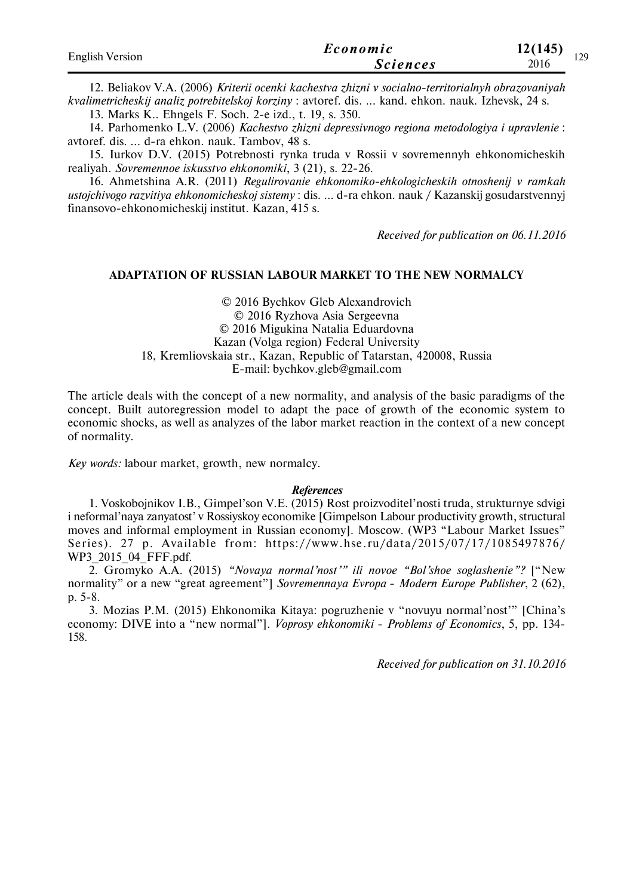| <b>English Version</b> | Economic        | 12(145) | 120 |
|------------------------|-----------------|---------|-----|
|                        | <i>Sciences</i> | 2016    |     |

12. Beliakov V.A. (2006) *Kriterii ocenki kachestva zhizni v socialno-territorialnyh obrazovaniyah kvalimetricheskij analiz potrebitelskoj korziny* : avtoref. dis. ... kand. ehkon. nauk. Izhevsk, 24 s.

13. Marks K.. Ehngels F. Soch. 2-e izd., t. 19, s. 350.

14. Parhomenko L.V. (2006) *Kachestvo zhizni depressivnogo regiona metodologiya i upravlenie* : avtoref. dis. ... d-ra ehkon. nauk. Tambov, 48 s.

15. Iurkov D.V. (2015) Potrebnosti rynka truda v Rossii v sovremennyh ehkonomicheskih realiyah. *Sovremennoe iskusstvo ehkonomiki*, 3 (21), s. 22-26.

16. Ahmetshina A.R. (2011) *Regulirovanie ehkonomiko-ehkologicheskih otnoshenij v ramkah ustojchivogo razvitiya ehkonomicheskoj sistemy* : dis. ... d-ra ehkon. nauk / Kazanskij gosudarstvennyj finansovo-ehkonomicheskij institut. Kazan, 415 s.

*Received for publication on 06.11.2016*

### **ADAPTATION OF RUSSIAN LABOUR MARKET TO THE NEW NORMALCY**

© 2016 Bychkov Gleb Alexandrovich © 2016 Ryzhova Asia Sergeevna © 2016 Migukina Natalia Eduardovna Kazan (Volga region) Federal University 18, Kremliovskaia str., Kazan, Republic of Tatarstan, 420008, Russia E-mail: bychkov.gleb@gmail.com

The article deals with the concept of a new normality, and analysis of the basic paradigms of the concept. Built autoregression model to adapt the pace of growth of the economic system to economic shocks, as well as analyzes of the labor market reaction in the context of a new concept of normality.

*Key words:* labour market, growth, new normalcy.

### *References*

1. Voskobojnikov I.B., Gimpel'son V.E. (2015) Rost proizvoditel'nosti truda, strukturnye sdvigi i neformal'naya zanyatost' v Rossiyskoy economike [Gimpelson Labour productivity growth, structural moves and informal employment in Russian economy]. Moscow. (WP3 "Labour Market Issues" Series). 27 p. Available from: https://www.hse.ru/data/2015/07/17/1085497876/ WP3\_2015\_04\_FFF.pdf.

2. Gromyko A.A. (2015) *"Novaya normal'nost'" ili novoe "Bol'shoe soglashenie"?* ["New normality" or a new "great agreement"] *Sovremennaya Evropa* - *Modern Europe Publisher*, 2 (62), p. 5-8.

3. Mozias P.M. (2015) Ehkonomika Kitaya: pogruzhenie v "novuyu normal'nost'" [China's economy: DIVE into a "new normal"]. *Voprosy ehkonomiki* - *Problems of Economics*, 5, рр. 134- 158.

*Received for publication on 31.10.2016*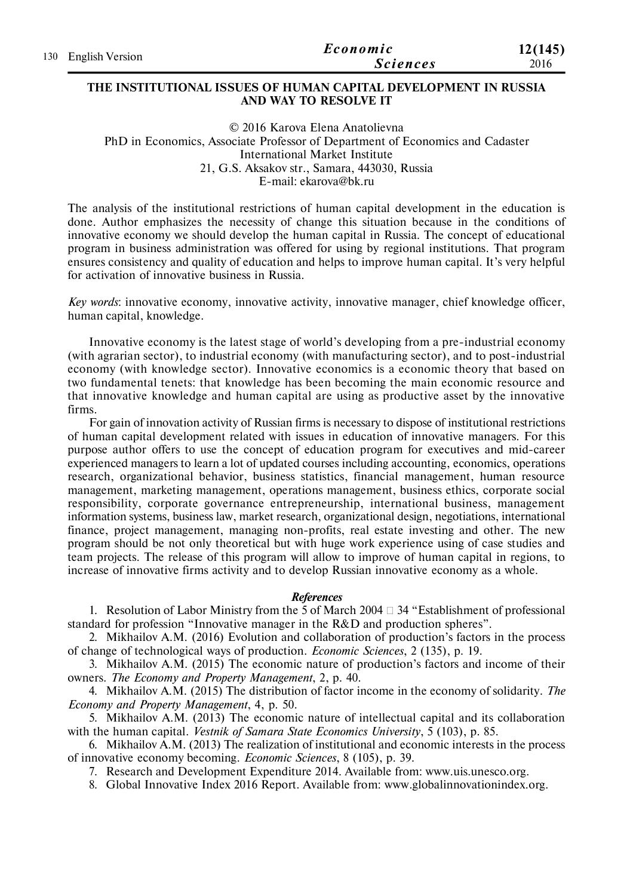| 130 English Version | Economic        | 12(145) |
|---------------------|-----------------|---------|
|                     | <i>Sciences</i> | 2016    |

### **THE INSTITUTIONAL ISSUES OF HUMAN CAPITAL DEVELOPMENT IN RUSSIA AND WAY TO RESOLVE IT**

© 2016 Karova Elena Anatolievna PhD in Economics, Associate Professor of Department of Economics and Cadaster International Market Institute 21, G.S. Aksakov str., Samara, 443030, Russia E-mail: ekarova@bk.ru

The analysis of the institutional restrictions of human capital development in the education is done. Author emphasizes the necessity of change this situation because in the conditions of innovative economy we should develop the human capital in Russia. The concept of educational program in business administration was offered for using by regional institutions. That program ensures consistency and quality of education and helps to improve human capital. It's very helpful for activation of innovative business in Russia.

*Key words*: innovative economy, innovative activity, innovative manager, chief knowledge officer, human capital, knowledge.

Innovative economy is the latest stage of world's developing from a pre-industrial economy (with agrarian sector), to industrial economy (with manufacturing sector), and to post-industrial economy (with knowledge sector). Innovative economics is a economic theory that based on two fundamental tenets: that knowledge has been becoming the main economic resource and that innovative knowledge and human capital are using as productive asset by the innovative firms.

For gain of innovation activity of Russian firms is necessary to dispose of institutional restrictions of human capital development related with issues in education of innovative managers. For this purpose author offers to use the concept of education program for executives and mid-career experienced managers to learn a lot of updated courses including accounting, economics, operations research, organizational behavior, business statistics, financial management, human resource management, marketing management, operations management, business ethics, corporate social responsibility, corporate governance entrepreneurship, international business, management information systems, business law, market research, organizational design, negotiations, international finance, project management, managing non-profits, real estate investing and other. The new program should be not only theoretical but with huge work experience using of case studies and team projects. The release of this program will allow to improve of human capital in regions, to increase of innovative firms activity and to develop Russian innovative economy as a whole.

### *References*

1. Resolution of Labor Ministry from the 5 of March 2004  $\Box$  34 "Establishment of professional standard for profession "Innovative manager in the R&D and production spheres".

2. Mikhailov A.M. (2016) Evolution and collaboration of production's factors in the process of change of technological ways of production. *Economic Sciences*, 2 (135), p. 19.

3. Mikhailov A.M. (2015) The economic nature of production's factors and income of their owners. *The Economy and Property Management*, 2, p. 40.

4. Mikhailov A.M. (2015) The distribution of factor income in the economy of solidarity. *The Economy and Property Management*, 4, р. 50.

5. Mikhailov A.M. (2013) The economic nature of intellectual capital and its collaboration with the human capital. *Vestnik of Samara State Economics University*, 5 (103), p. 85.

6. Mikhailov A.M. (2013) The realization of institutional and economic interests in the process of innovative economy becoming. *Economic Sciences*, 8 (105), p. 39.

7. Research and Development Expenditure 2014. Available from: www.uis.unesco.org.

8. Global Innovative Index 2016 Report. Available from: www.globalinnovationindex.org.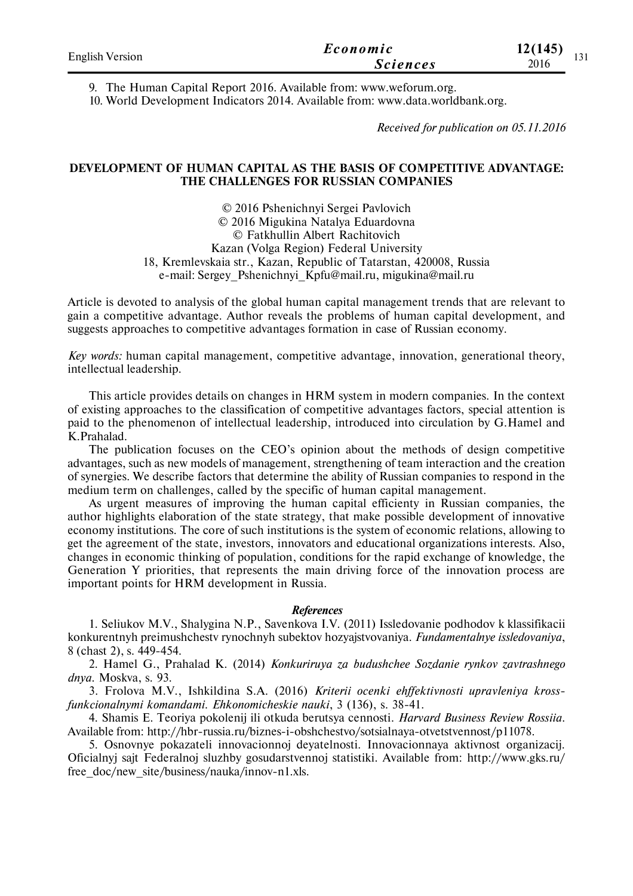| <b>English Version</b> | Economic        | 12(145)<br>121 |
|------------------------|-----------------|----------------|
|                        | <i>Sciences</i> | 151<br>2016    |

9. The Human Capital Report 2016. Available from: www.weforum.org.

10. World Development Indicators 2014. Available from: www.data.worldbank.org.

*Received for publication on 05.11.2016*

## **DEVELOPMENT OF HUMAN CAPITAL AS THE BASIS OF COMPETITIVE ADVANTAGE: THE CHALLENGES FOR RUSSIAN COMPANIES**

© 2016 Pshenichnyi Sergei Pavlovich © 2016 Migukina Natalya Eduardovna © Fatkhullin Albert Rachitovich Kazan (Volga Region) Federal University 18, Kremlevskaia str., Kazan, Republic of Tatarstan, 420008, Russia e-mail: Sergey\_Pshenichnyi\_Kpfu@mail.ru, migukina@mail.ru

Article is devoted to analysis of the global human capital management trends that are relevant to gain a competitive advantage. Author reveals the problems of human capital development, and suggests approaches to competitive advantages formation in case of Russian economy.

*Key words:* human capital management, competitive advantage, innovation, generational theory, intellectual leadership.

This article provides details on changes in HRM system in modern companies. In the context of existing approaches to the classification of competitive advantages factors, special attention is paid to the phenomenon of intellectual leadership, introduced into circulation by G.Hamel and K.Prahalad.

The publication focuses on the CEO's opinion about the methods of design competitive advantages, such as new models of management, strengthening of team interaction and the creation of synergies. We describe factors that determine the ability of Russian companies to respond in the medium term on challenges, called by the specific of human capital management.

As urgent measures of improving the human capital efficienty in Russian companies, the author highlights elaboration of the state strategy, that make possible development of innovative economy institutions. The core of such institutions is the system of economic relations, allowing to get the agreement of the state, investors, innovators and educational organizations interests. Also, changes in economic thinking of population, conditions for the rapid exchange of knowledge, the Generation Y priorities, that represents the main driving force of the innovation process are important points for HRM development in Russia.

## *References*

1. Seliukov M.V., Shalygina N.P., Savenkova I.V. (2011) Issledovanie podhodov k klassifikacii konkurentnyh preimushchestv rynochnyh subektov hozyajstvovaniya. *Fundamentalnye issledovaniya*, 8 (chast 2), s. 449-454.

2. Hamel G., Prahalad K. (2014) *Konkuriruya za budushchee Sozdanie rynkov zavtrashnego dnya.* Moskva, s. 93.

3. Frolova M.V., Ishkildina S.A. (2016) *Kriterii ocenki ehffektivnosti upravleniya krossfunkcionalnymi komandami*. *Ehkonomicheskie nauki*, 3 (136), s. 38-41.

4. Shamis E. Teoriya pokolenij ili otkuda berutsya cennosti. *Harvard Business Review Rossiia*. Available from: http://hbr-russia.ru/biznes-i-obshchestvo/sotsialnaya-otvetstvennost/p11078.

5. Osnovnye pokazateli innovacionnoj deyatelnosti. Innovacionnaya aktivnost organizacij. Oficialnyj sajt Federalnoj sluzhby gosudarstvennoj statistiki. Available from: http://www.gks.ru/ free doc/new site/business/nauka/innov-n1.xls.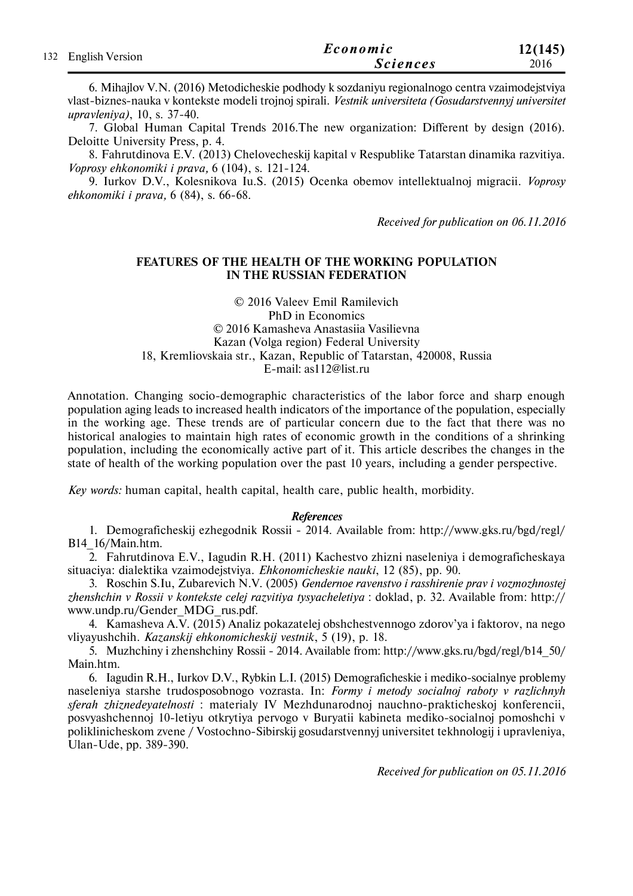|                     | Economic        | 12(145) |
|---------------------|-----------------|---------|
| 132 English Version | <b>Sciences</b> | 2016    |

6. Mihajlov V.N. (2016) Metodicheskie podhody k sozdaniyu regionalnogo centra vzaimodejstviya vlast-biznes-nauka v kontekste modeli trojnoj spirali. *Vestnik universiteta (Gosudarstvennyj universitet upravleniya)*, 10, s. 37-40.

7. Global Human Capital Trends 2016.The new organization: Different by design (2016). Deloitte University Press, p. 4.

8. Fahrutdinova E.V. (2013) Chelovecheskij kapital v Respublike Tatarstan dinamika razvitiya. *Voprosy ehkonomiki i prava,* 6 (104), s. 121-124.

9. Iurkov D.V., Kolesnikova Iu.S. (2015) Ocenka obemov intellektualnoj migracii. *Voprosy ehkonomiki i prava,* 6 (84), s. 66-68.

*Received for publication on 06.11.2016*

## **FEATURES OF THE HEALTH OF THE WORKING POPULATION IN THE RUSSIAN FEDERATION**

### © 2016 Valeev Emil Ramilevich PhD in Economics © 2016 Kamasheva Anastasiia Vasilievna Kazan (Volga region) Federal University 18, Kremliovskaia str., Kazan, Republic of Tatarstan, 420008, Russia E-mail: as112@list.ru

Annotation. Changing socio-demographic characteristics of the labor force and sharp enough population aging leads to increased health indicators of the importance of the population, especially in the working age. These trends are of particular concern due to the fact that there was no historical analogies to maintain high rates of economic growth in the conditions of a shrinking population, including the economically active part of it. This article describes the changes in the state of health of the working population over the past 10 years, including a gender perspective.

*Key words:* human capital, health capital, health care, public health, morbidity.

### *References*

1. Demograficheskij ezhegodnik Rossii - 2014. Available from: http://www.gks.ru/bgd/regl/ B14\_16/Main.htm.

2. Fahrutdinova E.V., Iagudin R.H. (2011) Kachestvo zhizni naseleniya i demograficheskaya situaciya: dialektika vzaimodejstviya. *Ehkonomicheskie nauki*, 12 (85), рр. 90.

3. Roschin S.Iu, Zubarevich N.V. (2005) *Gendernoe ravenstvo i rasshirenie prav i vozmozhnostej zhenshchin v Rossii v kontekste celej razvitiya tysyacheletiya* : doklad, р. 32. Available from: http:// www.undp.ru/Gender\_MDG\_rus.pdf.

4. Kamasheva A.V. (2015) Analiz pokazatelej obshchestvennogo zdorov'ya i faktorov, na nego vliyayushchih. *Kazanskij ehkonomicheskij vestnik*, 5 (19), р. 18.

5. Muzhchiny i zhenshchiny Rossii - 2014. Available from: http://www.gks.ru/bgd/regl/b14\_50/ Main.htm.

6. Iаgudin R.H., Iurkov D.V., Rybkin L.I. (2015) Demograficheskie i mediko-socialnye problemy naseleniya starshe trudosposobnogo vozrasta. In: *Formy i metody socialnoj raboty v razlichnyh sferah zhiznedeyatelnosti* : materialy IV Mezhdunarodnoj nauchno-prakticheskoj konferencii, posvyashchennoj 10-letiyu otkrytiya pervogo v Buryatii kabineta mediko-socialnoj pomoshchi v poliklinicheskom zvene / Vostochno-Sibirskij gosudarstvennyj universitet tekhnologij i upravleniya, Ulan-Ude, рр. 389-390.

*Received for publication on 05.11.2016*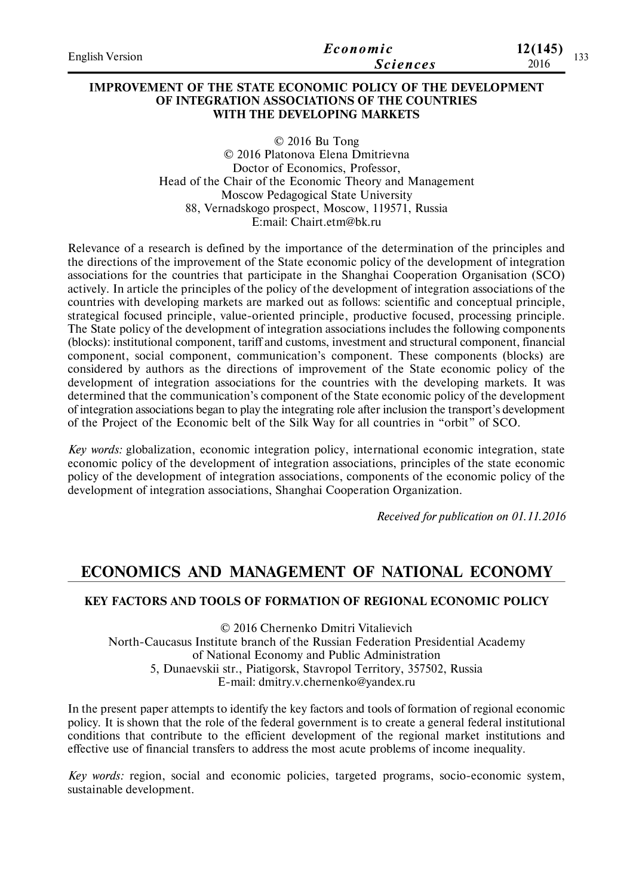| English Version | Economic        | 12(145)<br>122 |
|-----------------|-----------------|----------------|
|                 | <i>Sciences</i> | 1 J J<br>2016  |

## **IMPROVEMENT OF THE STATE ECONOMIC POLICY OF THE DEVELOPMENT OF INTEGRATION ASSOCIATIONS OF THE COUNTRIES WITH THE DEVELOPING MARKETS**

© 2016 Bu Tong © 2016 Platonovа Elena Dmitrievna Doctor of Economics, Professor, Head of the Chair of the Economic Theory and Management Moscow Pedagogical State University 88, Vernadskogo prospect, Moscow, 119571, Russia E:mail: Chairt.etm@bk.ru

Relevance of a research is defined by the importance of the determination of the principles and the directions of the improvement of the State economic policy of the development of integration associations for the countries that participate in the Shanghai Cooperation Organisation (SCO) actively. In article the principles of the policy of the development of integration associations of the countries with developing markets are marked out as follows: scientific and conceptual principle, strategical focused principle, value-oriented principle, productive focused, processing principle. The State policy of the development of integration associations includes the following components (blocks): institutional component, tariff and customs, investment and structural component, financial component, social component, communication's component. These components (blocks) are considered by authors as the directions of improvement of the State economic policy of the development of integration associations for the countries with the developing markets. It was determined that the communication's component of the State economic policy of the development of integration associations began to play the integrating role after inclusion the transport's development of the Project of the Economic belt of the Silk Way for all countries in "orbit" of SCO.

*Key words:* globalization, economic integration policy, international economic integration, state economic policy of the development of integration associations, principles of the state economic policy of the development of integration associations, components of the economic policy of the development of integration associations, Shanghai Cooperation Organization.

*Received for publication on 01.11.2016*

# **ECONOMICS AND MANAGEMENT OF NATIONAL ECONOMY**

## **KEY FACTORS AND TOOLS OF FORMATION OF REGIONAL ECONOMIC POLICY**

© 2016 Chernenko Dmitri Vitalievich North-Caucasus Institute branch of the Russian Federation Presidential Academy of National Economy and Public Administration 5, Dunaevskii str., Piatigorsk, Stavropol Territory, 357502, Russia E-mail: dmitry.v.chernenko@yandex.ru

In the present paper attempts to identify the key factors and tools of formation of regional economic policy. It is shown that the role of the federal government is to create a general federal institutional conditions that contribute to the efficient development of the regional market institutions and effective use of financial transfers to address the most acute problems of income inequality.

*Key words:* region, social and economic policies, targeted programs, socio-economic system, sustainable development.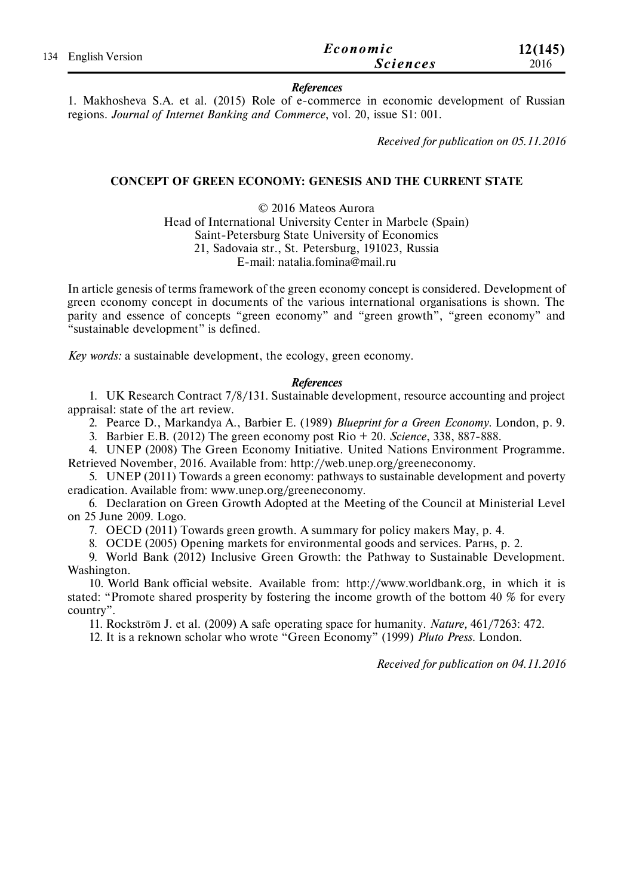|                     |                 | Economic | 12(145) |
|---------------------|-----------------|----------|---------|
| 134 English Version | <b>Sciences</b> | 2016     |         |

### *References*

1. Makhosheva S.A. et al. (2015) Role of e-commerce in economic development of Russian regions. *Journal of Internet Banking and Commerce*, vol. 20, issue S1: 001.

*Received for publication on 05.11.2016*

## **CONCEPT OF GREEN ECONOMY: GENESIS AND THE CURRENT STATE**

© 2016 Mateos Aurora Head of International University Center in Marbele (Spain) Saint-Petersburg State University of Economics 21, Sadovaia str., St. Petersburg, 191023, Russia E-mail: natalia.fomina@mail.ru

In article genesis of terms framework of the green economy concept is considered. Development of green economy concept in documents of the various international organisations is shown. The parity and essence of concepts "green economy" and "green growth", "green economy" and "sustainable development" is defined.

*Key words:* a sustainable development, the ecology, green economy.

### *References*

1. UK Research Contract 7/8/131. Sustainable development, resource accounting and project appraisal: state of the art review.

2. Pearce D., Markandya A., Barbier E. (1989) *Blueprint for a Green Economy*. London, p. 9.

3. Barbier E.B. (2012) The green economy post Rio + 20. *Science*, 338, 887-888.

4. UNEP (2008) The Green Economy Initiative. United Nations Environment Programme. Retrieved November, 2016. Available from: http://web.unep.org/greeneconomy.

5. UNEP (2011) Towards a green economy: pathways to sustainable development and poverty eradication. Available from: www.unep.org/greeneconomy.

6. Declaration on Green Growth Adopted at the Meeting of the Council at Ministerial Level on 25 June 2009. Logo.

7. OECD (2011) Towards green growth. A summary for policy makers May, p. 4.

8. OCDE (2005) Opening markets for environmental goods and services. Parнs, p. 2.

9. World Bank (2012) Inclusive Green Growth: the Pathway to Sustainable Development. Washington.

10. World Bank official website. Available from: http://www.worldbank.org, in which it is stated: "Promote shared prosperity by fostering the income growth of the bottom 40 % for every country".

11. Rockström J. et al. (2009) A safe operating space for humanity. *Nature,* 461/7263: 472.

12. It is a reknown scholar who wrote "Green Economy" (1999) *Pluto Press*. London.

*Received for publication on 04.11.2016*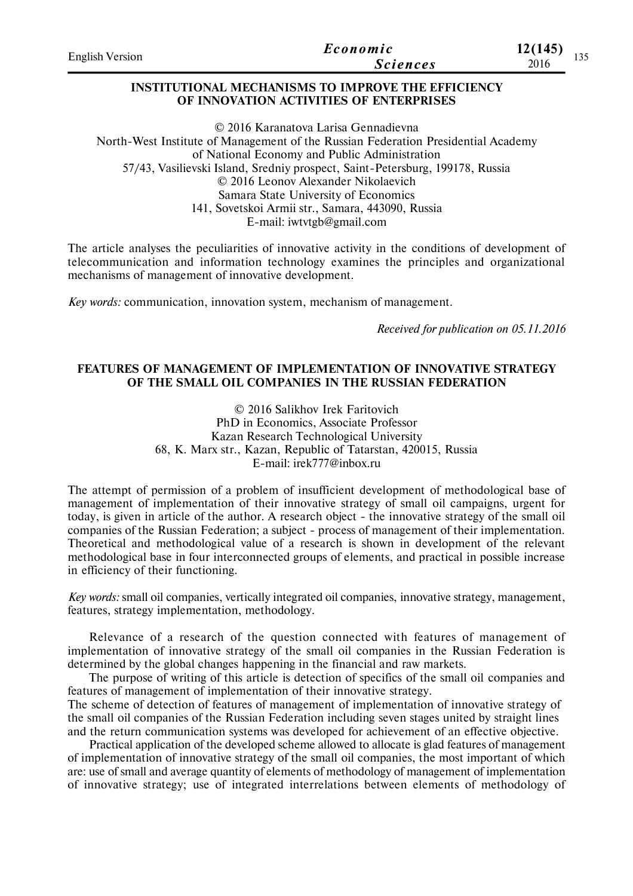| 2016 | <b>English Version</b> | Economic        | 12(145) | $\sim$ $\sim$ |
|------|------------------------|-----------------|---------|---------------|
|      |                        | <i>Sciences</i> |         | 1 J J         |

## **INSTITUTIONAL MECHANISMS TO IMPROVE THE EFFICIENCY OF INNOVATION ACTIVITIES OF ENTERPRISES**

© 2016 Karanatova Larisa Gennadievna North-West Institute of Management of the Russian Federation Presidential Academy of National Economy and Public Administration 57/43, Vasilievski Island, Sredniy prospect, Saint-Petersburg, 199178, Russia © 2016 Leonov Alexander Nikolaevich Samara State University of Economics 141, Sovetskoi Armii str., Samara, 443090, Russia E-mail: iwtvtgb@gmail.com

The article analyses the peculiarities of innovative activity in the conditions of development of telecommunication and information technology examines the principles and organizational mechanisms of management of innovative development.

*Key words:* communication, innovation system, mechanism of management.

*Received for publication on 05.11.2016*

## **FEATURES OF MANAGEMENT OF IMPLEMENTATION OF INNOVATIVE STRATEGY OF THE SMALL OIL COMPANIES IN THE RUSSIAN FEDERATION**

© 2016 Salikhov Irek Faritovich PhD in Economics, Associate Professor Kazan Research Technological University 68, K. Marx str., Kazan, Republic of Tatarstan, 420015, Russia E-mail: irek777@inbox.ru

The attempt of permission of a problem of insufficient development of methodological base of management of implementation of their innovative strategy of small oil campaigns, urgent for today, is given in article of the author. A research object - the innovative strategy of the small oil companies of the Russian Federation; a subject - process of management of their implementation. Theoretical and methodological value of a research is shown in development of the relevant methodological base in four interconnected groups of elements, and practical in possible increase in efficiency of their functioning.

*Key words:* small oil companies, vertically integrated oil companies, innovative strategy, management, features, strategy implementation, methodology.

Relevance of a research of the question connected with features of management of implementation of innovative strategy of the small oil companies in the Russian Federation is determined by the global changes happening in the financial and raw markets.

The purpose of writing of this article is detection of specifics of the small oil companies and features of management of implementation of their innovative strategy.

The scheme of detection of features of management of implementation of innovative strategy of the small oil companies of the Russian Federation including seven stages united by straight lines and the return communication systems was developed for achievement of an effective objective.

Practical application of the developed scheme allowed to allocate is glad features of management of implementation of innovative strategy of the small oil companies, the most important of which are: use of small and average quantity of elements of methodology of management of implementation of innovative strategy; use of integrated interrelations between elements of methodology of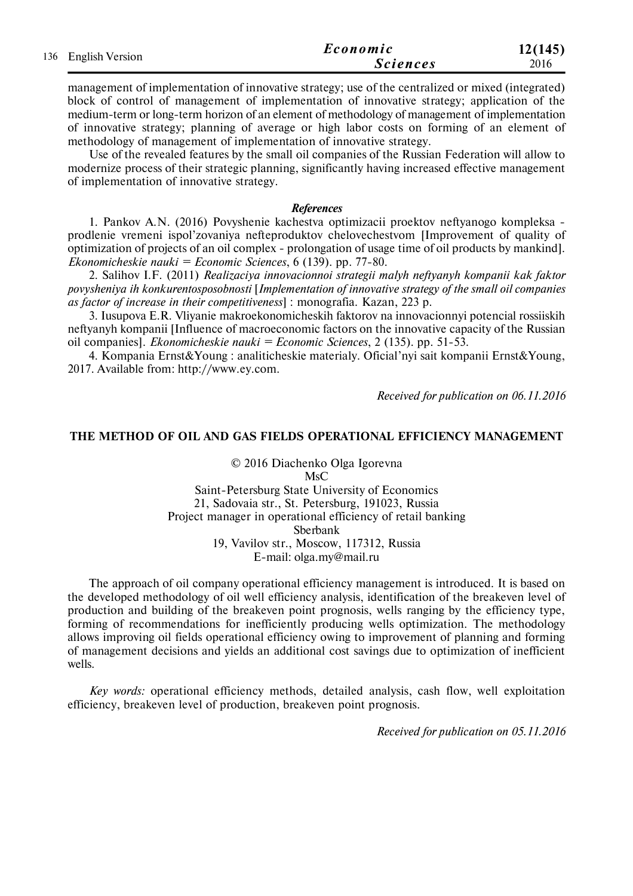|                     | Economic        | 12(145) |
|---------------------|-----------------|---------|
| 136 English Version | <i>Sciences</i> | 2016    |

management of implementation of innovative strategy; use of the centralized or mixed (integrated) block of control of management of implementation of innovative strategy; application of the medium-term or long-term horizon of an element of methodology of management of implementation of innovative strategy; planning of average or high labor costs on forming of an element of methodology of management of implementation of innovative strategy.

Use of the revealed features by the small oil companies of the Russian Federation will allow to modernize process of their strategic planning, significantly having increased effective management of implementation of innovative strategy.

### *References*

1. Pankov A.N. (2016) Povyshenie kachestva optimizacii proektov neftyanogo kompleksa prodlenie vremeni ispol'zovaniya nefteproduktov chelovechestvom [Improvement of quality of optimization of projects of an oil complex - prolongation of usage time of oil products by mankind]. *Ekonomicheskie nauki = Economic Sciences*, 6 (139). pp. 77-80.

2. Salihov I.F. (2011) *Realizaciya innovacionnoi strategii malyh neftyanyh kompanii kak faktor povysheniya ih konkurentosposobnosti* [*Implementation of innovative strategy of the small oil companies as factor of increase in their competitiveness*] : monografia. Kazan, 223 p.

3. Iusupova E.R. Vliyanie makroekonomicheskih faktorov na innovacionnyi potencial rossiiskih neftyanyh kompanii [Influence of macroeconomic factors on the innovative capacity of the Russian oil companies]. *Ekonomicheskie nauki = Economic Sciences*, 2 (135). pp. 51-53.

4. Kompania Ernst&Young : analiticheskie materialy. Oficial'nyi sait kompanii Ernst&Young, 2017. Available from: http://www.ey.com.

*Received for publication on 06.11.2016*

## **THE METHOD OF OIL AND GAS FIELDS OPERATIONAL EFFICIENCY MANAGEMENT**

© 2016 Diachenko Olga Igorevna **MsC** Saint-Petersburg State University of Economics 21, Sadovaia str., St. Petersburg, 191023, Russia Project manager in operational efficiency of retail banking Sberbank 19, Vavilov str., Moscow, 117312, Russia E-mail: olga.my@mail.ru

The approach of oil company operational efficiency management is introduced. It is based on the developed methodology of oil well efficiency analysis, identification of the breakeven level of production and building of the breakeven point prognosis, wells ranging by the efficiency type, forming of recommendations for inefficiently producing wells optimization. The methodology allows improving oil fields operational efficiency owing to improvement of planning and forming of management decisions and yields an additional cost savings due to optimization of inefficient wells.

*Key words:* operational efficiency methods, detailed analysis, cash flow, well exploitation efficiency, breakeven level of production, breakeven point prognosis.

*Received for publication on 05.11.2016*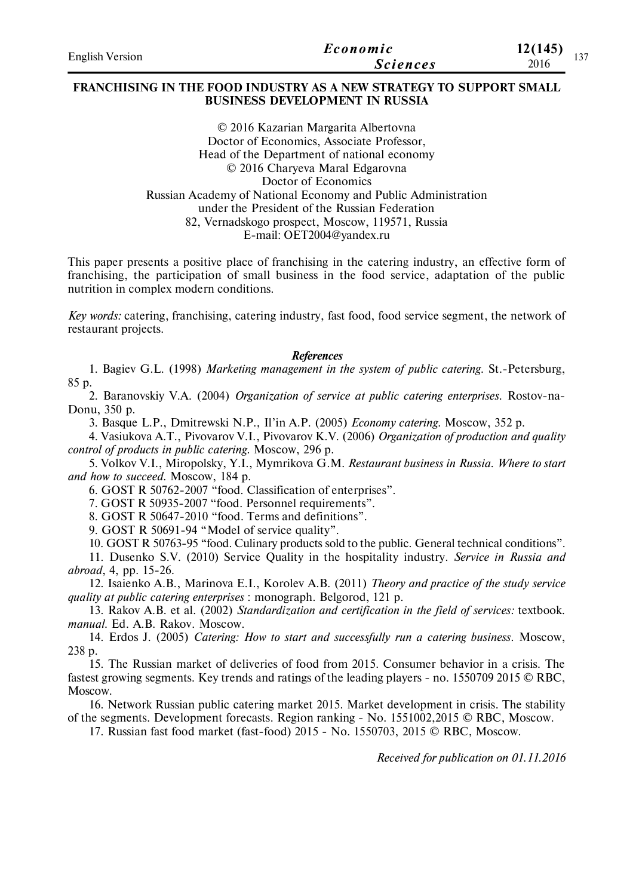| <b>English Version</b> | Economic        | 12(145)<br>127 |
|------------------------|-----------------|----------------|
|                        | <b>Sciences</b> | 2016           |

## **FRANCHISING IN THE FOOD INDUSTRY AS A NEW STRATEGY TO SUPPORT SMALL BUSINESS DEVELOPMENT IN RUSSIA**

© 2016 Kazarian Margarita Albertovna Doctor of Economics, Associate Professor, Head of the Department of national economy © 2016 Charyeva Maral Edgarovna Doctor of Economics Russian Academy of National Economy and Public Administration under the President of the Russian Federation 82, Vernadskogo prospect, Moscow, 119571, Russia E-mail: OET2004@yandex.ru

This paper presents a positive place of franchising in the catering industry, an effective form of franchising, the participation of small business in the food service, adaptation of the public nutrition in complex modern conditions.

*Key words:* catering, franchising, catering industry, fast food, food service segment, the network of restaurant projects.

#### *References*

1. Bagiev G.L. (1998) *Marketing management in the system of public catering.* St.-Petersburg, 85 p.

2. Baranovskiy V.A. (2004) *Organization of service at public catering enterprises.* Rostov-na-Donu, 350 p.

3. Basque L.P., Dmitrewski N.P., Il'in A.P. (2005) *Economy catering.* Moscow, 352 p.

4. Vasiukova A.T., Pivovarov V.I., Pivovarov K.V. (2006) *Organization of production and quality control of products in public catering.* Moscow, 296 p.

5. Volkov V.I., Miropolsky, Y.I., Mymrikova G.M. *Restaurant business in Russia. Where to start and how to succeed.* Moscow, 184 p.

6. GOST R 50762-2007 "food. Classification of enterprises".

7. GOST R 50935-2007 "food. Personnel requirements".

8. GOST R 50647-2010 "food. Terms and definitions".

9. GOST R 50691-94 "Model of service quality".

10. GOST R 50763-95 "food. Culinary products sold to the public. General technical conditions".

11. Dusenko S.V. (2010) Service Quality in the hospitality industry. *Service in Russia and abroad*, 4, pp. 15-26.

12. Isaienko A.B., Marinova E.I., Korolev A.B. (2011) *Theory and practice of the study service quality at public catering enterprises* : monograph. Belgorod, 121 p.

13. Rakov A.B. et al. (2002) *Standardization and certification in the field of services:* textbook. *manual*. Ed. A.B. Rakov. Moscow.

14. Erdos J. (2005) *Catering: How to start and successfully run a catering business.* Moscow, 238 p.

15. The Russian market of deliveries of food from 2015. Consumer behavior in a crisis. The fastest growing segments. Key trends and ratings of the leading players - no. 1550709 2015 © RBC, Moscow.

16. Network Russian public catering market 2015. Market development in crisis. The stability of the segments. Development forecasts. Region ranking - No. 1551002,2015 © RBC, Moscow.

17. Russian fast food market (fast-food) 2015 - No. 1550703, 2015 © RBC, Moscow.

*Received for publication on 01.11.2016*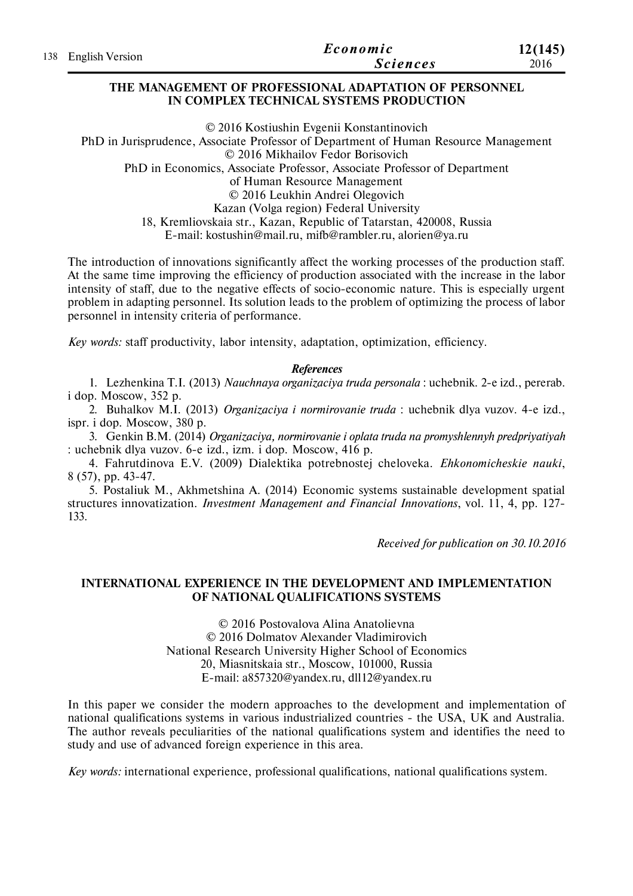| 138 English Version | Economic        | 12(145) |
|---------------------|-----------------|---------|
|                     | <b>Sciences</b> | 2016    |

### **THE MANAGEMENT OF PROFESSIONAL ADAPTATION OF PERSONNEL IN COMPLEX TECHNICAL SYSTEMS PRODUCTION**

© 2016 Kostiushin Evgenii Konstantinovich PhD in Jurisprudence, Associate Professor of Department of Human Resource Management © 2016 Mikhailov Fedor Borisovich PhD in Economics, Associate Professor, Associate Professor of Department of Human Resource Management © 2016 Leukhin Andrei Olegovich Kazan (Volga region) Federal University 18, Kremliovskaia str., Kazan, Republic of Tatarstan, 420008, Russia E-mail: kostushin@mail.ru, mifb@rambler.ru, alorien@ya.ru

The introduction of innovations significantly affect the working processes of the production staff. At the same time improving the efficiency of production associated with the increase in the labor intensity of staff, due to the negative effects of socio-economic nature. This is especially urgent problem in adapting personnel. Its solution leads to the problem of optimizing the process of labor personnel in intensity criteria of performance.

*Key words:* staff productivity, labor intensity, adaptation, optimization, efficiency.

### *References*

1. Lezhenkina T.I. (2013) *Nauchnaya organizaciya truda personala* : uchebnik. 2-e izd., pererab. i dop. Moscow, 352 p.

2. Buhalkov M.I. (2013) *Organizaciya i normirovanie truda* : uchebnik dlya vuzov. 4-e izd., ispr. i dop. Moscow, 380 p.

3. Genkin B.M. (2014) *Organizaciya, normirovanie i oplata truda na promyshlennyh predpriyatiyah* : uchebnik dlya vuzov. 6-e izd., izm. i dop. Moscow, 416 p.

4. Fahrutdinova E.V. (2009) Dialektika potrebnostej cheloveka. *Ehkonomicheskie nauki*, 8 (57), pp. 43-47.

5. Postaliuk M., Akhmetshina A. (2014) Economic systems sustainable development spatial structures innovatization. *Investment Management and Financial Innovations*, vol. 11, 4, рр. 127- 133.

*Received for publication on 30.10.2016*

## **INTERNATIONAL EXPERIENCE IN THE DEVELOPMENT AND IMPLEMENTATION OF NATIONAL QUALIFICATIONS SYSTEMS**

© 2016 Postovalova Alina Anatolievna © 2016 Dolmatov Alexander Vladimirovich National Research University Higher School of Economics 20, Miasnitskaia str., Moscow, 101000, Russia E-mail: a857320@yandex.ru, dll12@yandex.ru

In this paper we consider the modern approaches to the development and implementation of national qualifications systems in various industrialized countries - the USА, UK and Australia. The author reveals peculiarities of the national qualifications system and identifies the need to study and use of advanced foreign experience in this area.

*Key words:* international experience, professional qualifications, national qualifications system.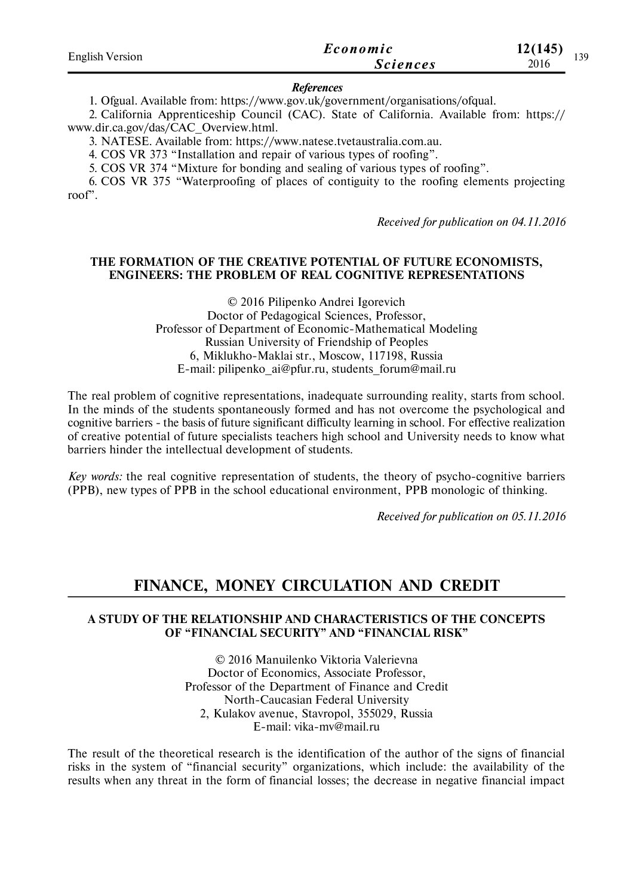| <b>English Version</b> | Economic        | 12(145)<br>139 |
|------------------------|-----------------|----------------|
|                        | <i>Sciences</i> | 2016           |

### *References*

1. Ofgual. Available from: https://www.gov.uk/government/organisations/ofqual.

2. California Apprenticeship Council (CAC). State of California. Available from: https:// www.dir.ca.gov/das/CAC\_Overview.html.

3. NATESE. Available from: https://www.natese.tvetaustralia.com.au.

4. COS VR 373 "Installation and repair of various types of roofing".

5. COS VR 374 "Mixture for bonding and sealing of various types of roofing".

6. COS VR 375 "Waterproofing of places of contiguity to the roofing elements projecting roof".

*Received for publication on 04.11.2016*

## **THE FORMATION OF THE CREATIVE POTENTIAL OF FUTURE ECONOMISTS, ENGINEERS: THE PROBLEM OF REAL COGNITIVE REPRESENTATIONS**

© 2016 Pilipenko Andrei Igorevich Doctor of Pedagogical Sciences, Professor, Professor of Department of Economic-Mathematical Modeling Russian University of Friendship of Peoples 6, Miklukho-Maklai str., Moscow, 117198, Russia E-mail: pilipenko\_ai@pfur.ru, students\_forum@mail.ru

The real problem of cognitive representations, inadequate surrounding reality, starts from school. In the minds of the students spontaneously formed and has not overcome the psychological and cognitive barriers - the basis of future significant difficulty learning in school. For effective realization of creative potential of future specialists teachers high school and University needs to know what barriers hinder the intellectual development of students.

*Key words:* the real cognitive representation of students, the theory of psycho-cognitive barriers (PPB), new types of PPB in the school educational environment, PPB monologic of thinking.

*Received for publication on 05.11.2016*

# **FINANCE, MONEY CIRCULATION AND CREDIT**

## **A STUDY OF THE RELATIONSHIP AND CHARACTERISTICS OF THE CONCEPTS OF "FINANCIAL SECURITY" AND "FINANCIAL RISK"**

© 2016 Manuilenko Viktoria Valerievna Doctor of Economics, Associate Professor, Professor of the Department of Finance and Credit North-Caucasian Federal University 2, Kulakov avenue, Stavropol, 355029, Russia E-mail: vika-mv@mail.ru

The result of the theoretical research is the identification of the author of the signs of financial risks in the system of "financial security" organizations, which include: the availability of the results when any threat in the form of financial losses; the decrease in negative financial impact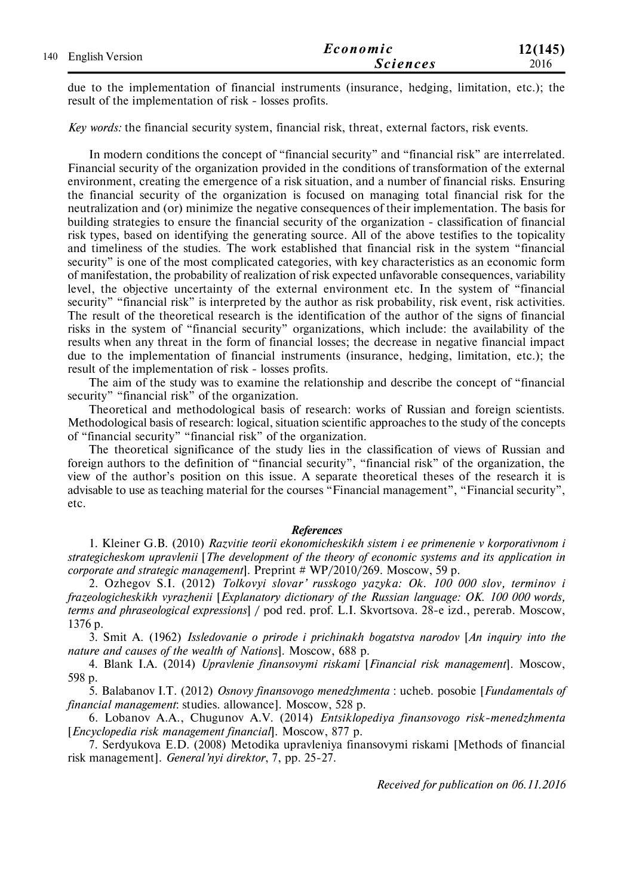|                     | Economic        | 12(145) |
|---------------------|-----------------|---------|
| 140 English Version | <b>Sciences</b> | 2016    |

due to the implementation of financial instruments (insurance, hedging, limitation, etc.); the result of the implementation of risk - losses profits.

*Key words:* the financial security system, financial risk, threat, external factors, risk events.

In modern conditions the concept of "financial security" and "financial risk" are interrelated. Financial security of the organization provided in the conditions of transformation of the external environment, creating the emergence of a risk situation, and a number of financial risks. Ensuring the financial security of the organization is focused on managing total financial risk for the neutralization and (or) minimize the negative consequences of their implementation. The basis for building strategies to ensure the financial security of the organization - classification of financial risk types, based on identifying the generating source. All of the above testifies to the topicality and timeliness of the studies. The work established that financial risk in the system "financial security" is one of the most complicated categories, with key characteristics as an economic form of manifestation, the probability of realization of risk expected unfavorable consequences, variability level, the objective uncertainty of the external environment etc. In the system of "financial security" "financial risk" is interpreted by the author as risk probability, risk event, risk activities. The result of the theoretical research is the identification of the author of the signs of financial risks in the system of "financial security" organizations, which include: the availability of the results when any threat in the form of financial losses; the decrease in negative financial impact due to the implementation of financial instruments (insurance, hedging, limitation, etc.); the result of the implementation of risk - losses profits.

The aim of the study was to examine the relationship and describe the concept of "financial security" "financial risk" of the organization.

Theoretical and methodological basis of research: works of Russian and foreign scientists. Methodological basis of research: logical, situation scientific approaches to the study of the concepts of "financial security" "financial risk" of the organization.

The theoretical significance of the study lies in the classification of views of Russian and foreign authors to the definition of "financial security", "financial risk" of the organization, the view of the author's position on this issue. A separate theoretical theses of the research it is advisable to use as teaching material for the courses "Financial management", "Financial security", etc.

### *References*

1. Kleiner G.B. (2010) *Razvitie teorii ekonomicheskikh sistem i ee primenenie v korporativnom i strategicheskom upravlenii* [*The development of the theory of economic systems and its application in corporate and strategic management*]. Preprint # WP/2010/269. Moscow, 59 p.

2. Ozhegov S.I. (2012) *Tolkovyi slovar' russkogo yazyka: Ok. 100 000 slov, terminov i frazeologicheskikh vyrazhenii* [*Explanatory dictionary of the Russian language: OK. 100 000 words, terms and phraseological expressions*] / pod red. prof. L.I. Skvortsova. 28-e izd., pererab. Moscow, 1376 p.

3. Smit A. (1962) *Issledovanie o prirode i prichinakh bogatstva narodov* [*An inquiry into the nature and causes of the wealth of Nations*]. Moscow, 688 p.

4. Blank I.A. (2014) *Upravlenie finansovymi riskami* [*Financial risk management*]. Moscow, 598 p.

5. Balabanov I.T. (2012) *Osnovy finansovogo menedzhmenta* : ucheb. posobie [*Fundamentals of financial management*: studies. allowance]. Moscow, 528 p.

6. Lobanov A.A., Chugunov A.V. (2014) *Entsiklopediya finansovogo risk-menedzhmenta* [*Encyclopedia risk management financial*]. Moscow, 877 p.

7. Serdyukova E.D. (2008) Metodika upravleniya finansovymi riskami [Methods of financial risk management]. *General'nyi direktor*, 7, pp. 25-27.

*Received for publication on 06.11.2016*